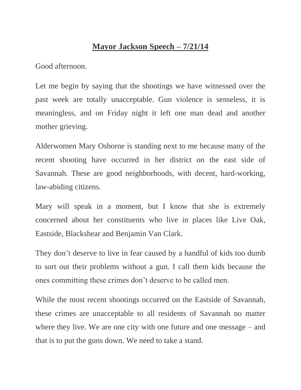## **Mayor Jackson Speech – 7/21/14**

Good afternoon.

Let me begin by saying that the shootings we have witnessed over the past week are totally unacceptable. Gun violence is senseless, it is meaningless, and on Friday night it left one man dead and another mother grieving.

Alderwomen Mary Osborne is standing next to me because many of the recent shooting have occurred in her district on the east side of Savannah. These are good neighborhoods, with decent, hard-working, law-abiding citizens.

Mary will speak in a moment, but I know that she is extremely concerned about her constituents who live in places like Live Oak, Eastside, Blackshear and Benjamin Van Clark.

They don't deserve to live in fear caused by a handful of kids too dumb to sort out their problems without a gun. I call them kids because the ones committing these crimes don't deserve to be called men.

While the most recent shootings occurred on the Eastside of Savannah, these crimes are unacceptable to all residents of Savannah no matter where they live. We are one city with one future and one message – and that is to put the guns down. We need to take a stand.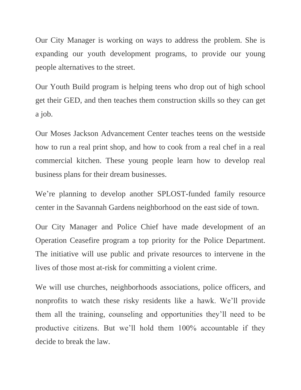Our City Manager is working on ways to address the problem. She is expanding our youth development programs, to provide our young people alternatives to the street.

Our Youth Build program is helping teens who drop out of high school get their GED, and then teaches them construction skills so they can get a job.

Our Moses Jackson Advancement Center teaches teens on the westside how to run a real print shop, and how to cook from a real chef in a real commercial kitchen. These young people learn how to develop real business plans for their dream businesses.

We're planning to develop another SPLOST-funded family resource center in the Savannah Gardens neighborhood on the east side of town.

Our City Manager and Police Chief have made development of an Operation Ceasefire program a top priority for the Police Department. The initiative will use public and private resources to intervene in the lives of those most at-risk for committing a violent crime.

We will use churches, neighborhoods associations, police officers, and nonprofits to watch these risky residents like a hawk. We'll provide them all the training, counseling and opportunities they'll need to be productive citizens. But we'll hold them 100% accountable if they decide to break the law.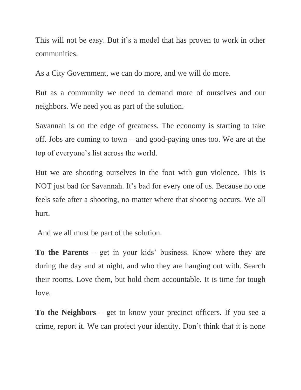This will not be easy. But it's a model that has proven to work in other communities.

As a City Government, we can do more, and we will do more.

But as a community we need to demand more of ourselves and our neighbors. We need you as part of the solution.

Savannah is on the edge of greatness. The economy is starting to take off. Jobs are coming to town – and good-paying ones too. We are at the top of everyone's list across the world.

But we are shooting ourselves in the foot with gun violence. This is NOT just bad for Savannah. It's bad for every one of us. Because no one feels safe after a shooting, no matter where that shooting occurs. We all hurt.

And we all must be part of the solution.

**To the Parents** – get in your kids' business. Know where they are during the day and at night, and who they are hanging out with. Search their rooms. Love them, but hold them accountable. It is time for tough love.

**To the Neighbors** – get to know your precinct officers. If you see a crime, report it. We can protect your identity. Don't think that it is none